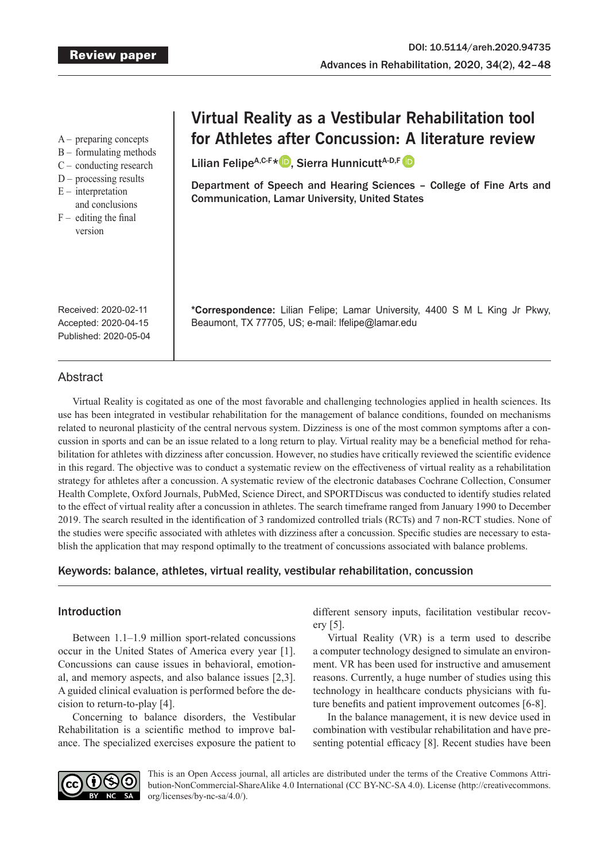A – preparing concepts

- B formulating methods
- C conducting research
- $D$  processing results
- $E$  interpretation
- and conclusions
- $F -$  editing the final version

# **Virtual Reality as a Vestibular Rehabilitation tool for Athletes after Concussion: A literature review**

Lilian Felipe<sup>A,C-F[\\*](https://orcid.org/0000-0002-2981-3537)</sup> D. Sierra Hunnicutt<sup>A-D,F</sup> D

Department of Speech and Hearing Sciences – College of Fine Arts and Communication, Lamar University, United States

**\*Correspondence:** Lilian Felipe; Lamar University, 4400 S M L King Jr Pkwy,

Received: 2020-02-11 Accepted: 2020-04-15 Published: 2020-05-04

# **Abstract**

Virtual Reality is cogitated as one of the most favorable and challenging technologies applied in health sciences. Its use has been integrated in vestibular rehabilitation for the management of balance conditions, founded on mechanisms related to neuronal plasticity of the central nervous system. Dizziness is one of the most common symptoms after a concussion in sports and can be an issue related to a long return to play. Virtual reality may be a beneficial method for rehabilitation for athletes with dizziness after concussion. However, no studies have critically reviewed the scientific evidence in this regard. The objective was to conduct a systematic review on the effectiveness of virtual reality as a rehabilitation strategy for athletes after a concussion. A systematic review of the electronic databases Cochrane Collection, Consumer Health Complete, Oxford Journals, PubMed, Science Direct, and SPORTDiscus was conducted to identify studies related to the effect of virtual reality after a concussion in athletes. The search timeframe ranged from January 1990 to December 2019. The search resulted in the identification of 3 randomized controlled trials (RCTs) and 7 non-RCT studies. None of the studies were specific associated with athletes with dizziness after a concussion. Specific studies are necessary to establish the application that may respond optimally to the treatment of concussions associated with balance problems.

Beaumont, TX 77705, US; e-mail: lfelipe@lamar.edu

# Keywords: balance, athletes, virtual reality, vestibular rehabilitation, concussion

# Introduction

Between 1.1–1.9 million sport-related concussions occur in the United States of America every year [1]. Concussions can cause issues in behavioral, emotional, and memory aspects, and also balance issues [2,3]. A guided clinical evaluation is performed before the decision to return-to-play [4].

Concerning to balance disorders, the Vestibular Rehabilitation is a scientific method to improve balance. The specialized exercises exposure the patient to

different sensory inputs, facilitation vestibular recovery [5].

Virtual Reality (VR) is a term used to describe a computer technology designed to simulate an environment. VR has been used for instructive and amusement reasons. Currently, a huge number of studies using this technology in healthcare conducts physicians with future benefits and patient improvement outcomes [6-8].

In the balance management, it is new device used in combination with vestibular rehabilitation and have presenting potential efficacy [8]. Recent studies have been



This is an Open Access journal, all articles are distributed under the terms of the Creative Commons Attribution-NonCommercial-ShareAlike 4.0 International (CC BY-NC-SA 4.0). License (http://creativecommons. org/licenses/by-nc-sa/4.0/).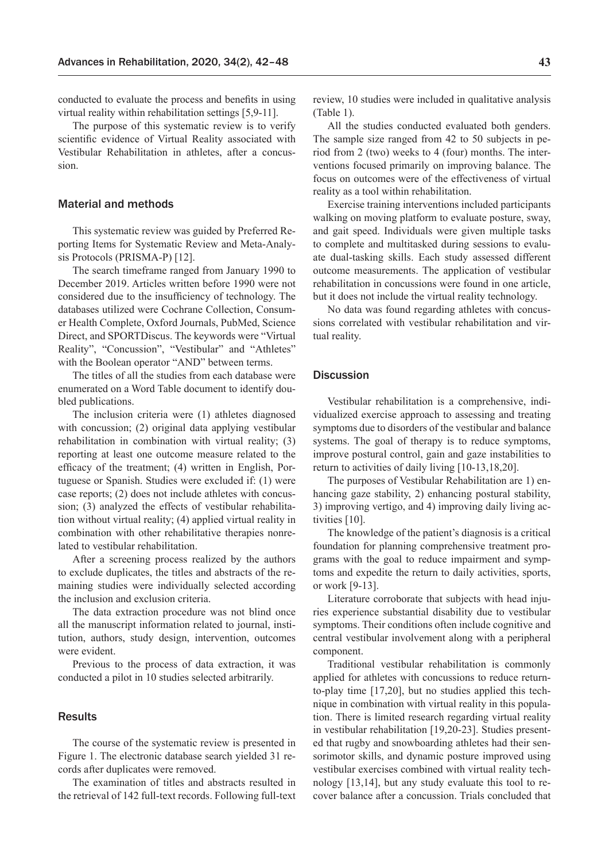conducted to evaluate the process and benefits in using virtual reality within rehabilitation settings [5,9-11].

The purpose of this systematic review is to verify scientific evidence of Virtual Reality associated with Vestibular Rehabilitation in athletes, after a concussion.

#### Material and methods

This systematic review was guided by Preferred Reporting Items for Systematic Review and Meta-Analysis Protocols (PRISMA-P) [12].

The search timeframe ranged from January 1990 to December 2019. Articles written before 1990 were not considered due to the insufficiency of technology. The databases utilized were Cochrane Collection, Consumer Health Complete, Oxford Journals, PubMed, Science Direct, and SPORTDiscus. The keywords were "Virtual Reality", "Concussion", "Vestibular" and "Athletes" with the Boolean operator "AND" between terms.

The titles of all the studies from each database were enumerated on a Word Table document to identify doubled publications.

The inclusion criteria were (1) athletes diagnosed with concussion; (2) original data applying vestibular rehabilitation in combination with virtual reality; (3) reporting at least one outcome measure related to the efficacy of the treatment; (4) written in English, Portuguese or Spanish. Studies were excluded if: (1) were case reports; (2) does not include athletes with concussion; (3) analyzed the effects of vestibular rehabilitation without virtual reality; (4) applied virtual reality in combination with other rehabilitative therapies nonrelated to vestibular rehabilitation.

After a screening process realized by the authors to exclude duplicates, the titles and abstracts of the remaining studies were individually selected according the inclusion and exclusion criteria.

The data extraction procedure was not blind once all the manuscript information related to journal, institution, authors, study design, intervention, outcomes were evident.

Previous to the process of data extraction, it was conducted a pilot in 10 studies selected arbitrarily.

## **Results**

The course of the systematic review is presented in Figure 1. The electronic database search yielded 31 records after duplicates were removed.

The examination of titles and abstracts resulted in the retrieval of 142 full-text records. Following full-text review, 10 studies were included in qualitative analysis (Table 1).

All the studies conducted evaluated both genders. The sample size ranged from 42 to 50 subjects in period from 2 (two) weeks to 4 (four) months. The interventions focused primarily on improving balance. The focus on outcomes were of the effectiveness of virtual reality as a tool within rehabilitation.

Exercise training interventions included participants walking on moving platform to evaluate posture, sway, and gait speed. Individuals were given multiple tasks to complete and multitasked during sessions to evaluate dual-tasking skills. Each study assessed different outcome measurements. The application of vestibular rehabilitation in concussions were found in one article, but it does not include the virtual reality technology.

No data was found regarding athletes with concussions correlated with vestibular rehabilitation and virtual reality.

## **Discussion**

Vestibular rehabilitation is a comprehensive, individualized exercise approach to assessing and treating symptoms due to disorders of the vestibular and balance systems. The goal of therapy is to reduce symptoms, improve postural control, gain and gaze instabilities to return to activities of daily living [10-13,18,20].

The purposes of Vestibular Rehabilitation are 1) enhancing gaze stability, 2) enhancing postural stability, 3) improving vertigo, and 4) improving daily living activities [10].

The knowledge of the patient's diagnosis is a critical foundation for planning comprehensive treatment programs with the goal to reduce impairment and symptoms and expedite the return to daily activities, sports, or work [9-13].

Literature corroborate that subjects with head injuries experience substantial disability due to vestibular symptoms. Their conditions often include cognitive and central vestibular involvement along with a peripheral component.

Traditional vestibular rehabilitation is commonly applied for athletes with concussions to reduce returnto-play time [17,20], but no studies applied this technique in combination with virtual reality in this population. There is limited research regarding virtual reality in vestibular rehabilitation [19,20-23]. Studies presented that rugby and snowboarding athletes had their sensorimotor skills, and dynamic posture improved using vestibular exercises combined with virtual reality technology [13,14], but any study evaluate this tool to recover balance after a concussion. Trials concluded that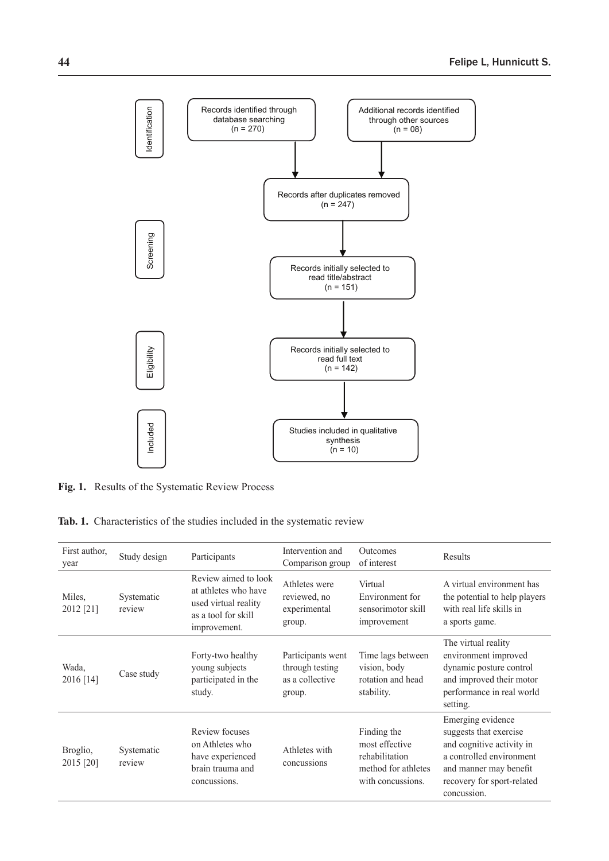

**Fig. 1.** Results of the Systematic Review Process

**Tab. 1.** Characteristics of the studies included in the systematic review

| First author,<br>year | Study design         | Participants                                                                                                | Intervention and<br>Comparison group                              | <b>Outcomes</b><br>of interest                                                              | Results                                                                                                                                                                     |
|-----------------------|----------------------|-------------------------------------------------------------------------------------------------------------|-------------------------------------------------------------------|---------------------------------------------------------------------------------------------|-----------------------------------------------------------------------------------------------------------------------------------------------------------------------------|
| Miles,<br>2012 [21]   | Systematic<br>review | Review aimed to look<br>at athletes who have<br>used virtual reality<br>as a tool for skill<br>improvement. | Athletes were<br>reviewed, no<br>experimental<br>group.           | Virtual<br>Environment for<br>sensorimotor skill<br>improvement                             | A virtual environment has<br>the potential to help players<br>with real life skills in<br>a sports game.                                                                    |
| Wada,<br>2016 [14]    | Case study           | Forty-two healthy<br>young subjects<br>participated in the<br>study.                                        | Participants went<br>through testing<br>as a collective<br>group. | Time lags between<br>vision, body<br>rotation and head<br>stability.                        | The virtual reality<br>environment improved<br>dynamic posture control<br>and improved their motor<br>performance in real world<br>setting.                                 |
| Broglio,<br>2015 [20] | Systematic<br>review | Review focuses<br>on Athletes who<br>have experienced<br>brain trauma and<br>concussions.                   | Athletes with<br>concussions                                      | Finding the<br>most effective<br>rehabilitation<br>method for athletes<br>with concussions. | Emerging evidence<br>suggests that exercise<br>and cognitive activity in<br>a controlled environment<br>and manner may benefit<br>recovery for sport-related<br>concussion. |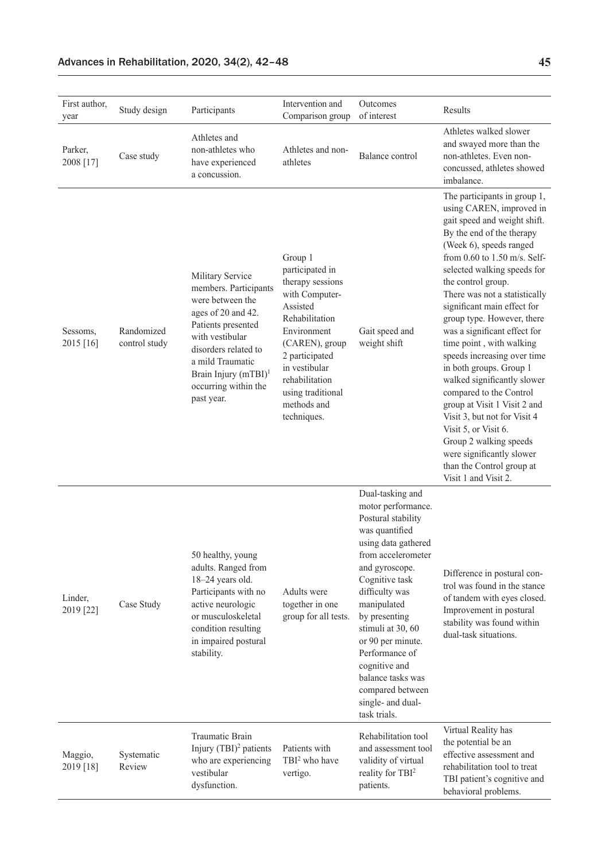| First author,<br>year | Study design                | Participants                                                                                                                                                                                                                                       | Intervention and<br>Comparison group                                                                                                                                                                                                    | Outcomes<br>of interest                                                                                                                                                                                                                                                                                                                                                      | Results                                                                                                                                                                                                                                                                                                                                                                                                                                                                                                                                                                                                                                                                                                                 |
|-----------------------|-----------------------------|----------------------------------------------------------------------------------------------------------------------------------------------------------------------------------------------------------------------------------------------------|-----------------------------------------------------------------------------------------------------------------------------------------------------------------------------------------------------------------------------------------|------------------------------------------------------------------------------------------------------------------------------------------------------------------------------------------------------------------------------------------------------------------------------------------------------------------------------------------------------------------------------|-------------------------------------------------------------------------------------------------------------------------------------------------------------------------------------------------------------------------------------------------------------------------------------------------------------------------------------------------------------------------------------------------------------------------------------------------------------------------------------------------------------------------------------------------------------------------------------------------------------------------------------------------------------------------------------------------------------------------|
| Parker,<br>2008 [17]  | Case study                  | Athletes and<br>non-athletes who<br>have experienced<br>a concussion.                                                                                                                                                                              | Athletes and non-<br>athletes                                                                                                                                                                                                           | Balance control                                                                                                                                                                                                                                                                                                                                                              | Athletes walked slower<br>and swayed more than the<br>non-athletes. Even non-<br>concussed, athletes showed<br>imbalance.                                                                                                                                                                                                                                                                                                                                                                                                                                                                                                                                                                                               |
| Sessoms,<br>2015 [16] | Randomized<br>control study | Military Service<br>members. Participants<br>were between the<br>ages of 20 and 42.<br>Patients presented<br>with vestibular<br>disorders related to<br>a mild Traumatic<br>Brain Injury (mTBI) <sup>1</sup><br>occurring within the<br>past year. | Group 1<br>participated in<br>therapy sessions<br>with Computer-<br>Assisted<br>Rehabilitation<br>Environment<br>(CAREN), group<br>2 participated<br>in vestibular<br>rehabilitation<br>using traditional<br>methods and<br>techniques. | Gait speed and<br>weight shift                                                                                                                                                                                                                                                                                                                                               | The participants in group 1,<br>using CAREN, improved in<br>gait speed and weight shift.<br>By the end of the therapy<br>(Week 6), speeds ranged<br>from 0.60 to 1.50 m/s. Self-<br>selected walking speeds for<br>the control group.<br>There was not a statistically<br>significant main effect for<br>group type. However, there<br>was a significant effect for<br>time point, with walking<br>speeds increasing over time<br>in both groups. Group 1<br>walked significantly slower<br>compared to the Control<br>group at Visit 1 Visit 2 and<br>Visit 3, but not for Visit 4<br>Visit 5, or Visit 6.<br>Group 2 walking speeds<br>were significantly slower<br>than the Control group at<br>Visit 1 and Visit 2. |
| Linder,<br>2019 [22]  | Case Study                  | 50 healthy, young<br>adults. Ranged from<br>18-24 years old.<br>Participants with no<br>active neurologic<br>or musculoskeletal<br>condition resulting<br>in impaired postural<br>stability.                                                       | Adults were<br>together in one<br>group for all tests.                                                                                                                                                                                  | Dual-tasking and<br>motor performance.<br>Postural stability<br>was quantified<br>using data gathered<br>from accelerometer<br>and gyroscope.<br>Cognitive task<br>difficulty was<br>manipulated<br>by presenting<br>stimuli at 30, 60<br>or 90 per minute.<br>Performance of<br>cognitive and<br>balance tasks was<br>compared between<br>single- and dual-<br>task trials. | Difference in postural con-<br>trol was found in the stance<br>of tandem with eyes closed.<br>Improvement in postural<br>stability was found within<br>dual-task situations.                                                                                                                                                                                                                                                                                                                                                                                                                                                                                                                                            |
| Maggio,<br>2019 [18]  | Systematic<br>Review        | Traumatic Brain<br>Injury $(TBI)^2$ patients<br>who are experiencing<br>vestibular<br>dysfunction.                                                                                                                                                 | Patients with<br>TBI <sup>2</sup> who have<br>vertigo.                                                                                                                                                                                  | Rehabilitation tool<br>and assessment tool<br>validity of virtual<br>reality for TBI <sup>2</sup><br>patients.                                                                                                                                                                                                                                                               | Virtual Reality has<br>the potential be an<br>effective assessment and<br>rehabilitation tool to treat<br>TBI patient's cognitive and<br>behavioral problems.                                                                                                                                                                                                                                                                                                                                                                                                                                                                                                                                                           |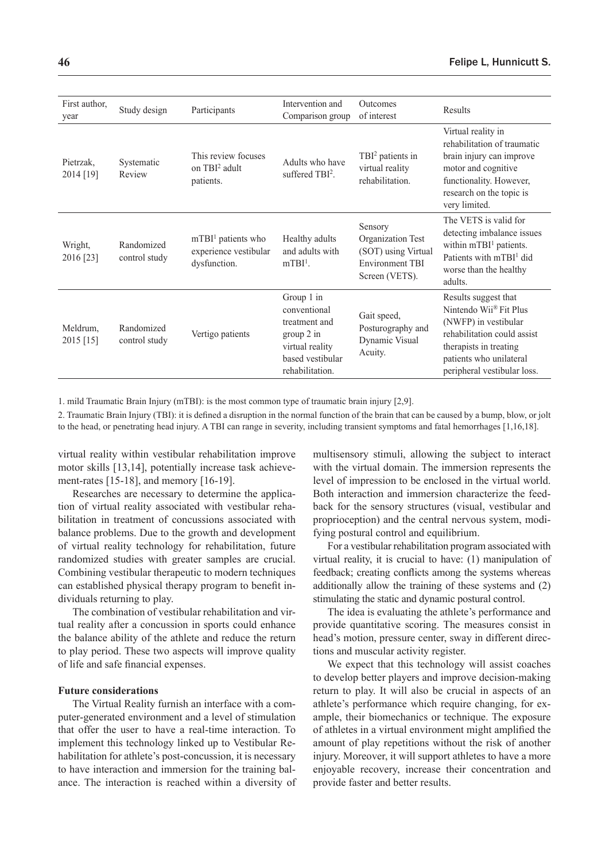| First author,<br>year   | Study design                | Participants                                                  | Intervention and<br>Comparison group                                                                                | <b>Outcomes</b><br>of interest                                                                  | Results                                                                                                                                                                                               |
|-------------------------|-----------------------------|---------------------------------------------------------------|---------------------------------------------------------------------------------------------------------------------|-------------------------------------------------------------------------------------------------|-------------------------------------------------------------------------------------------------------------------------------------------------------------------------------------------------------|
| Pietrzak.<br>2014 [19]  | Systematic<br>Review        | This review focuses<br>on TBI <sup>2</sup> adult<br>patients. | Adults who have<br>suffered TBI <sup>2</sup> .                                                                      | TBI <sup>2</sup> patients in<br>virtual reality<br>rehabilitation.                              | Virtual reality in<br>rehabilitation of traumatic<br>brain injury can improve<br>motor and cognitive<br>functionality. However,<br>research on the topic is<br>very limited.                          |
| Wright,<br>2016 [23]    | Randomized<br>control study | $mTBI1$ patients who<br>experience vestibular<br>dysfunction. | Healthy adults<br>and adults with<br>$mTBI1$ .                                                                      | Sensory<br>Organization Test<br>(SOT) using Virtual<br><b>Environment TBI</b><br>Screen (VETS). | The VETS is valid for<br>detecting imbalance issues<br>within $mTBI1$ patients.<br>Patients with mTBI <sup>1</sup> did<br>worse than the healthy<br>adults.                                           |
| Meldrum,<br>$2015$ [15] | Randomized<br>control study | Vertigo patients                                              | Group 1 in<br>conventional<br>treatment and<br>group 2 in<br>virtual reality<br>based vestibular<br>rehabilitation. | Gait speed,<br>Posturography and<br>Dynamic Visual<br>Acuity.                                   | Results suggest that<br>Nintendo Wii <sup>®</sup> Fit Plus<br>(NWFP) in vestibular<br>rehabilitation could assist<br>therapists in treating<br>patients who unilateral<br>peripheral vestibular loss. |

1. mild Traumatic Brain Injury (mTBI): is the most common type of traumatic brain injury [2,9].

2. Traumatic Brain Injury (TBI): it is defined a disruption in the normal function of the brain that can be caused by a bump, blow, or jolt to the head, or penetrating head injury. A TBI can range in severity, including transient symptoms and fatal hemorrhages [1,16,18].

virtual reality within vestibular rehabilitation improve motor skills [13,14], potentially increase task achievement-rates [15-18], and memory [16-19].

Researches are necessary to determine the application of virtual reality associated with vestibular rehabilitation in treatment of concussions associated with balance problems. Due to the growth and development of virtual reality technology for rehabilitation, future randomized studies with greater samples are crucial. Combining vestibular therapeutic to modern techniques can established physical therapy program to benefit individuals returning to play.

The combination of vestibular rehabilitation and virtual reality after a concussion in sports could enhance the balance ability of the athlete and reduce the return to play period. These two aspects will improve quality of life and safe financial expenses.

## **Future considerations**

The Virtual Reality furnish an interface with a computer-generated environment and a level of stimulation that offer the user to have a real-time interaction. To implement this technology linked up to Vestibular Rehabilitation for athlete's post-concussion, it is necessary to have interaction and immersion for the training balance. The interaction is reached within a diversity of multisensory stimuli, allowing the subject to interact with the virtual domain. The immersion represents the level of impression to be enclosed in the virtual world. Both interaction and immersion characterize the feedback for the sensory structures (visual, vestibular and proprioception) and the central nervous system, modifying postural control and equilibrium.

For a vestibular rehabilitation program associated with virtual reality, it is crucial to have: (1) manipulation of feedback; creating conflicts among the systems whereas additionally allow the training of these systems and (2) stimulating the static and dynamic postural control.

The idea is evaluating the athlete's performance and provide quantitative scoring. The measures consist in head's motion, pressure center, sway in different directions and muscular activity register.

We expect that this technology will assist coaches to develop better players and improve decision-making return to play. It will also be crucial in aspects of an athlete's performance which require changing, for example, their biomechanics or technique. The exposure of athletes in a virtual environment might amplified the amount of play repetitions without the risk of another injury. Moreover, it will support athletes to have a more enjoyable recovery, increase their concentration and provide faster and better results.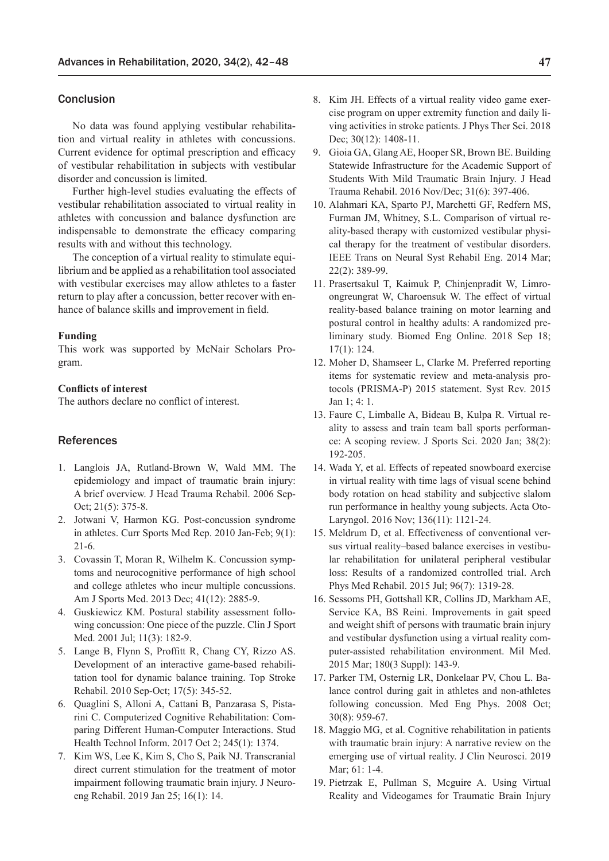## Conclusion

No data was found applying vestibular rehabilitation and virtual reality in athletes with concussions. Current evidence for optimal prescription and efficacy of vestibular rehabilitation in subjects with vestibular disorder and concussion is limited.

Further high-level studies evaluating the effects of vestibular rehabilitation associated to virtual reality in athletes with concussion and balance dysfunction are indispensable to demonstrate the efficacy comparing results with and without this technology.

The conception of a virtual reality to stimulate equilibrium and be applied as a rehabilitation tool associated with vestibular exercises may allow athletes to a faster return to play after a concussion, better recover with enhance of balance skills and improvement in field.

#### **Funding**

This work was supported by McNair Scholars Program.

## **Conflicts of interest**

The authors declare no conflict of interest.

## References

- 1. Langlois JA, Rutland-Brown W, Wald MM. The epidemiology and impact of traumatic brain injury: A brief overview. J Head Trauma Rehabil. 2006 Sep-Oct; 21(5): 375-8.
- 2. Jotwani V, Harmon KG. Post-concussion syndrome in athletes. Curr Sports Med Rep. 2010 Jan-Feb; 9(1): 21-6.
- 3. Covassin T, Moran R, Wilhelm K. Concussion symptoms and neurocognitive performance of high school and college athletes who incur multiple concussions. Am J Sports Med. 2013 Dec; 41(12): 2885-9.
- 4. Guskiewicz KM. Postural stability assessment following concussion: One piece of the puzzle. Clin J Sport Med. 2001 Jul; 11(3): 182-9.
- 5. Lange B, Flynn S, Proffitt R, Chang CY, Rizzo AS. Development of an interactive game-based rehabilitation tool for dynamic balance training. Top Stroke Rehabil. 2010 Sep-Oct; 17(5): 345-52.
- 6. Quaglini S, Alloni A, Cattani B, Panzarasa S, Pistarini C. Computerized Cognitive Rehabilitation: Comparing Different Human-Computer Interactions. Stud Health Technol Inform. 2017 Oct 2; 245(1): 1374.
- 7. Kim WS, Lee K, Kim S, Cho S, Paik NJ. Transcranial direct current stimulation for the treatment of motor impairment following traumatic brain injury. J Neuroeng Rehabil. 2019 Jan 25; 16(1): 14.
- 8. Kim JH. Effects of a virtual reality video game exercise program on upper extremity function and daily living activities in stroke patients. J Phys Ther Sci. 2018 Dec; 30(12): 1408-11.
- 9. Gioia GA, Glang AE, Hooper SR, Brown BE. Building Statewide Infrastructure for the Academic Support of Students With Mild Traumatic Brain Injury. J Head Trauma Rehabil. 2016 Nov/Dec; 31(6): 397-406.
- 10. Alahmari KA, Sparto PJ, Marchetti GF, Redfern MS, Furman JM, Whitney, S.L. Comparison of virtual reality-based therapy with customized vestibular physical therapy for the treatment of vestibular disorders. IEEE Trans on Neural Syst Rehabil Eng. 2014 Mar; 22(2): 389-99.
- 11. Prasertsakul T, Kaimuk P, Chinjenpradit W, Limroongreungrat W, Charoensuk W. The effect of virtual reality-based balance training on motor learning and postural control in healthy adults: A randomized preliminary study. Biomed Eng Online. 2018 Sep 18; 17(1): 124.
- 12. Moher D, Shamseer L, Clarke M. Preferred reporting items for systematic review and meta-analysis protocols (PRISMA-P) 2015 statement. Syst Rev. 2015 Jan 1; 4: 1.
- 13. Faure C, Limballe A, Bideau B, Kulpa R. Virtual reality to assess and train team ball sports performance: A scoping review. J Sports Sci. 2020 Jan; 38(2): 192-205.
- 14. Wada Y, et al. Effects of repeated snowboard exercise in virtual reality with time lags of visual scene behind body rotation on head stability and subjective slalom run performance in healthy young subjects. Acta Oto-Laryngol. 2016 Nov; 136(11): 1121-24.
- 15. Meldrum D, et al. Effectiveness of conventional versus virtual reality–based balance exercises in vestibular rehabilitation for unilateral peripheral vestibular loss: Results of a randomized controlled trial. Arch Phys Med Rehabil. 2015 Jul; 96(7): 1319-28.
- 16. Sessoms PH, Gottshall KR, Collins JD, Markham AE, Service KA, BS Reini. Improvements in gait speed and weight shift of persons with traumatic brain injury and vestibular dysfunction using a virtual reality computer-assisted rehabilitation environment. Mil Med. 2015 Mar; 180(3 Suppl): 143-9.
- 17. Parker TM, Osternig LR, Donkelaar PV, Chou L. Balance control during gait in athletes and non-athletes following concussion. Med Eng Phys. 2008 Oct; 30(8): 959-67.
- 18. Maggio MG, et al. Cognitive rehabilitation in patients with traumatic brain injury: A narrative review on the emerging use of virtual reality. J Clin Neurosci. 2019 Mar: 61: 1-4.
- 19. Pietrzak E, Pullman S, Mcguire A. Using Virtual Reality and Videogames for Traumatic Brain Injury